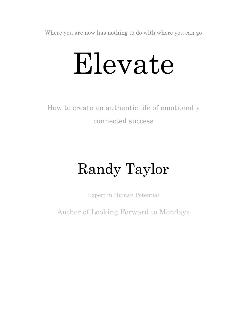Where you are now has nothing to do with where you can go

# Elevate

How to create an authentic life of emotionally connected success

## Randy Taylor

Expert in Human Potential

Author of Looking Forward to Mondays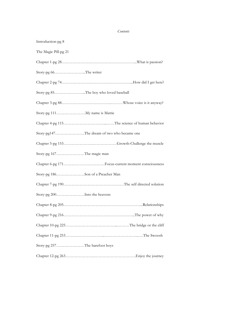#### *Contents*

| Introduction-pg 8                     |                                            |
|---------------------------------------|--------------------------------------------|
| The Magic Pill-pg 21                  |                                            |
|                                       |                                            |
| Story-pg 66The writer                 |                                            |
|                                       |                                            |
| Story-pg 85The boy who loved baseball |                                            |
|                                       |                                            |
| Story-pg 111 My name is Mattie        |                                            |
|                                       |                                            |
|                                       | Story-pg147The dream of two who became one |
|                                       |                                            |
| Story-pg 167The magic man             |                                            |
|                                       |                                            |
| Story-pg 186Son of a Preacher Man     |                                            |
|                                       |                                            |
| Story-pg 200Into the heavens          |                                            |
|                                       |                                            |
|                                       |                                            |
|                                       |                                            |
|                                       |                                            |
| Story-pg 257The barefoot boys         |                                            |
|                                       |                                            |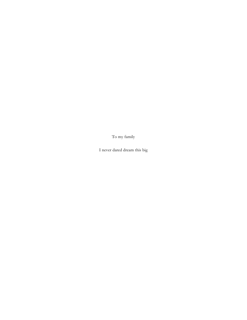To my family

I never dared dream this big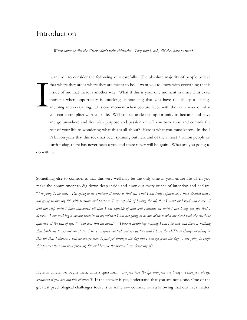### Introduction

*"When someone dies the Greeks don't write obituaries. They simply ask, did they have passion?"*

 want you to consider the following very carefully. The absolute majority of people believe that where they are is where they are meant to be. I want you to know with everything that is inside of me that there is another way. What if this is your one moment in time? This exact moment when opportunity is knocking, announcing that you have the ability to change anything and everything. This one moment when you are faced with the real choice of what you can accomplish with your life. Will you set aside this opportunity to become and have and go anywhere and live with purpose and passion or will you turn away and commit the rest of your life to wondering what this is all about? Here is what you must know. In the 4 ½ billion years that this rock has been spinning out here and of the almost 7 billion people on earth today, there has never been a you and there never will be again. What are you going to do with it? I

Something else to consider is that this very well may be the only time in your entire life when you make the commitment to dig down deep inside and draw out every ounce of intention and declare, "*I'm going to do this. I'm going to do whatever it takes to find out what I am truly capable of. I have decided that I am going to live my life with passion and purpose. I am capable of having the life that I want and need and crave. I will not stop until I have uncovered all that I am capable of and will continue on until I am living the life that I deserve. I am making a solemn promise to myself that I am not going to be one of those who are faced with the crushing question at the end of life, "What was this all about?" There is absolutely nothing I can't become and there is nothing that holds me to my current state. I have complete control over my destiny and I have the ability to change anything in this life that I choose. I will no longer look to just get through the day but I will get from the day. I am going to begin this process that will transform my life and become the person I am deserving of".*

Here is where we begin then; with a question. *"Do you love the life that you are living? Have you always wondered if you are capable of more"?* If the answer is yes, understand that you are not alone. One of the greatest psychological challenges today is to somehow connect with a knowing that our lives matter.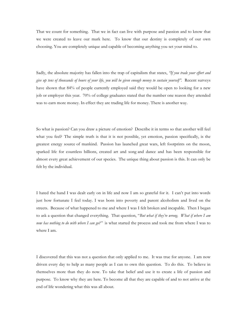That we count for something. That we in fact can live with purpose and passion and to know that we were created to leave our mark here. To know that our destiny is completely of our own choosing. You are completely unique and capable of becoming anything you set your mind to.

Sadly, the absolute majority has fallen into the trap of capitalism that states, *"If you trade your effort and give up tens of thousands of hours of your life, you will be given enough money to sustain yourself".* Recent surveys have shown that 84% of people currently employed said they would be open to looking for a new job or employer this year. 70% of college graduates stated that the number one reason they attended was to earn more money. In effect they are trading life for money. There is another way.

So what is passion? Can you draw a picture of emotion? Describe it in terms so that another will feel what you feel? The simple truth is that it is not possible, yet emotion, passion specifically, is the greatest energy source of mankind. Passion has launched great wars, left footprints on the moon, sparked life for countless billions, created art and song and dance and has been responsible for almost every great achievement of our species. The unique thing about passion is this. It can only be felt by the individual.

I hated the hand I was dealt early on in life and now I am so grateful for it. I can't put into words just how fortunate I feel today. I was born into poverty and parent alcoholism and lived on the streets. Because of what happened to me and where I was I felt broken and incapable. Then I began to ask a question that changed everything. That question, "*But what if they're wrong. What if where I am now has nothing to do with where I can go?"* is what started the process and took me from where I was to where I am.

I discovered that this was not a question that only applied to me. It was true for anyone. I am now driven every day to help as many people as I can to own this question. To do this. To believe in themselves more than they do now. To take that belief and use it to create a life of passion and purpose. To know why they are here. To become all that they are capable of and to not arrive at the end of life wondering what this was all about.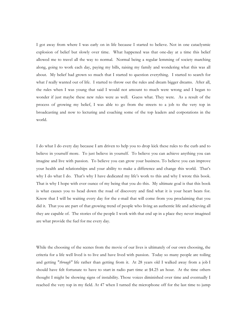I got away from where I was early on in life because I started to believe. Not in one cataclysmic explosion of belief but slowly over time. What happened was that one-day at a time this belief allowed me to travel all the way to normal. Normal being a regular lemming of society marching along, going to work each day, paying my bills, raising my family and wondering what this was all about. My belief had grown so much that I started to question everything. I started to search for what *I* really wanted out of life. I started to throw out the rules and dream bigger dreams. After all, the rules when I was young that said I would not amount to much were wrong and I began to wonder if just maybe these new rules were as well. Guess what. They were. As a result of the process of growing my belief, I was able to go from the streets to a job to the very top in broadcasting and now to lecturing and coaching some of the top leaders and corporations in the world.

I do what I do every day because I am driven to help you to drop kick these rules to the curb and to believe in yourself more. To just believe in yourself. To believe you can achieve anything you can imagine and live with passion. To believe you can grow your business. To believe you can improve your health and relationships and your ability to make a difference and change this world. That's why I do what I do. That's why I have dedicated my life's work to this and why I wrote this book. That is why I hope with ever ounce of my being that you do this. My ultimate goal is that this book is what causes you to head down the road of discovery and find what it is your heart beats for. Know that I will be waiting every day for the e-mail that will come from you proclaiming that you did it. That you are part of that growing trend of people who living an authentic life and achieving all they are capable of. The stories of the people I work with that end up in a place they never imagined are what provide the fuel for me every day.

While the choosing of the scenes from the movie of our lives is ultimately of our own choosing, the criteria for a life well lived is to live and have lived with passion. Today so many people are toiling and getting "*through"* life rather than getting from it. At 28 years old I walked away from a job I should have felt fortunate to have to start in radio part time at \$4.25 an hour. At the time others thought I might be showing signs of instability. Those voices diminished over time and eventually I reached the very top in my field. At 47 when I turned the microphone off for the last time to jump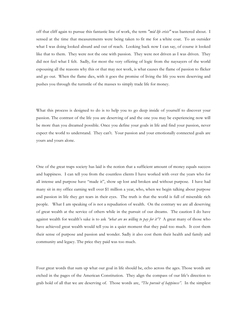off that cliff again to pursue this fantastic line of work, the term *"mid life crisis"* was bantered about. I sensed at the time that measurements were being taken to fit me for a white coat. To an outsider what I was doing looked absurd and out of reach. Looking back now I can say, of course it looked like that to them. They were not the one with passion. They were not driven as I was driven. They did not feel what I felt. Sadly, for most the very offering of logic from the naysayers of the world espousing all the reasons why this or that may not work, is what causes the flame of passion to flicker and go out. When the flame dies, with it goes the promise of living the life you were deserving and pushes you through the turnstile of the masses to simply trade life for money.

What this process is designed to do is to help you to go deep inside of yourself to discover your passion. The contrast of the life you are deserving of and the one you may be experiencing now will be more than you dreamed possible. Once you define your goals in life and find your passion, never expect the world to understand. They can't. Your passion and your emotionally connected goals are yours and yours alone.

One of the great traps society has laid is the notion that a sufficient amount of money equals success and happiness. I can tell you from the countless clients I have worked with over the years who for all intense and purpose have "made it", show up lost and broken and without purpose. I have had many sit in my office earning well over \$1 million a year, who, when we begin talking about purpose and passion in life they get tears in their eyes. The truth is that the world is full of miserable rich people. What I am speaking of is not a repudiation of wealth. On the contrary we are all deserving of great wealth at the service of others while in the pursuit of our dreams. The caution I do have against wealth for wealth's sake is to ask *"what are we willing to pay for it"?* A great many of those who have achieved great wealth would tell you in a quiet moment that they paid too much. It cost them their sense of purpose and passion and wonder. Sadly it also cost them their health and family and community and legacy. The price they paid was too much.

Four great words that sum up what our goal in life should be, echo across the ages. Those words are etched in the pages of the American Constitution. They align the compass of our life's direction to grab hold of all that we are deserving of. Those words are, *"The pursuit of happiness".* In the simplest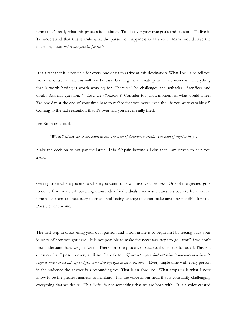terms that's really what this process is all about. To discover your true goals and passion. To live it. To understand that this is truly what the pursuit of happiness is all about. Many would have the question, *"Sure, but is this possible for me"?* 

It is a fact that it is possible for every one of us to arrive at this destination. What I will also tell you from the outset is that this will not be easy. Gaining the ultimate prize in life never is. Everything that is worth having is worth working for. There will be challenges and setbacks. Sacrifices and doubt. Ask this question, *"What is the alternative"?* Consider for just a moment of what would it feel like one day at the end of your time here to realize that you never lived the life you were capable of? Coming to the sad realization that it's over and you never really tried.

Jim Rohn once said,

#### *"We will all pay one of two pains in life. The pain of discipline is small. The pain of regret is huge".*

Make the decision to not pay the latter. It is *this* pain beyond all else that I am driven to help you avoid.

Getting from where you are to where you want to be will involve a process. One of the greatest gifts to come from my work coaching thousands of individuals over many years has been to learn in real time what steps are necessary to create real lasting change that can make anything possible for you. Possible for anyone.

The first step in discovering your own passion and vision in life is to begin first by tracing back your journey of how you got here. It is not possible to make the necessary steps to go *"there"* if we don't first understand how we got *"here".* There is a core process of success that is true for us all. This is a question that I pose to every audience I speak to. *"If you set a goal, find out what is necessary to achieve it, begin to invest in the activity and you don't stop any goal in life is possible".* Every single time with every person in the audience the answer is a resounding yes. That is an absolute. What stops us is what I now know to be the greatest nemesis to mankind. It is the voice in our head that is constantly challenging everything that we desire. This *"voice"* is not something that we are born with. It is a voice created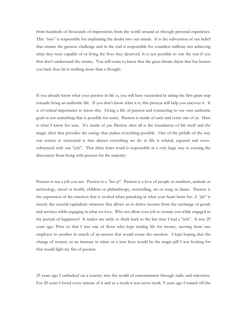from hundreds of thousands of impressions from the world around us through personal experience. This *"voice"* is responsible for implanting the doubt into our minds. It is the subversion of our belief that creates the greatest challenge and in the end is responsible for countless millions not achieving what they were capable of or living the lives they deserved. It is not possible to win the war if you first don't understand the enemy. You will come to know that the great dream slayer that has beaten you back thus far is nothing more than a thought.

If you already know what your passion in life is, you will have succeeded in taking the first giant step towards living an authentic life. If you don't know what it is, this process will help you uncover it. It is of critical importance to know this. Living a life of passion and connecting to our own authentic goals is not something that is possible for some. Passion is inside of each and every one of us. Here is what I know for sure. It's inside of *you.* Passion after all is the foundation of life itself and the magic elixir that provides the energy that makes everything possible. One of the pitfalls of the way our society is structured is that almost everything we do in life is related, equated and crossreferenced with our "job". That three letter word is responsible in a very large way to causing the disconnect from living with passion for the majority.

Passion is not a job you see. Passion is a *"love of".* Passion is a love of people or numbers, animals or technology, travel or health, children or philanthropy, storytelling, art or song or dance. Passion is the expression of the emotion that is evoked when partaking in what your heart beats for. A *"job"* is merely the societal capitalistic structure that allows us to derive income from the exchange of goods and services while engaging in what we love. Why not allow your job to sustain you while engaged in the pursuit of happiness? It makes me smile to think back to the last time I had a "job". It was 29 years ago. Prior to that I was one of those who kept trading life for money, moving from one employer to another in search of an answer that would create the emotion. I kept hoping that the change of scenery or an increase in salary or a new boss would be the magic pill I was looking for that would light my fire of passion.

29 years ago I embarked on a journey into the world of entertainment through radio and television. For 20 years I loved every minute of it and as a result it was never work. 9 years ago I turned off the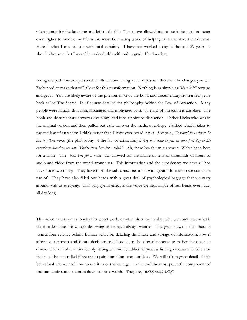microphone for the last time and left to do this. That move allowed me to push the passion meter even higher to involve my life in this most fascinating world of helping others achieve their dreams. Here is what I can tell you with total certainty. I have not worked a day in the past 29 years. I should also note that I was able to do all this with only a grade 10 education.

Along the path towards personal fulfillment and living a life of passion there will be changes you will likely need to make that will allow for this transformation. Nothing is as simple as *"there it is"* now go and get it. You are likely aware of the phenomenon of the book and documentary from a few years back called The Secret. It of course detailed the philosophy behind the Law of Attraction. Many people were initially drawn in, fascinated and motivated by it. The law of attraction is absolute. The book and documentary however oversimplified it to a point of distraction. Esther Hicks who was in the original version and then pulled out early on over the media over-hype, clarified what it takes to use the law of attraction I think better than I have ever heard it put. She said, *"It would be easier to be hearing these words* (the philosophy of the law of attraction*) if they had come to you on your first day of life experience but they are not. You've been here for a while".* Ah, there lies the true answer. We've been here for a while. The *"been here for a while"* has allowed for the intake of tens of thousands of hours of audio and video from the world around us. This information and the experiences we have all had have done two things. They have filled the sub-conscious mind with great information we can make use of. They have also filled our heads with a great deal of psychological baggage that we carry around with us everyday. This baggage in effect is the voice we hear inside of our heads every day, all day long.

This voice natters on as to why this won't work, or why this is too hard or why we don't have what it takes to lead the life we are deserving of or have always wanted. The great news is that there is tremendous science behind human behavior, detailing the intake and storage of information, how it affects our current and future decisions and how it can be altered to serve us rather than tear us down. There is also an incredibly strong chemically addictive process linking emotions to behavior that must be controlled if we are to gain dominion over our lives. We will talk in great detail of this behavioral science and how to use it to our advantage. In the end the most powerful component of true authentic success comes down to three words. They are, *"Belief, belief, belief".*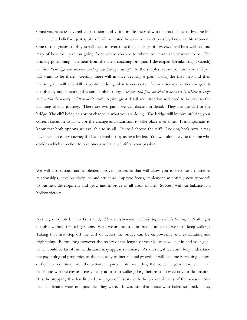Once you have uncovered your passion and vision in life the real work starts of how to breathe life into it. The belief we just spoke of will be tested in ways you can't possibly know at this moment. One of the greatest tools you will need to overcome the challenge of "*the voice"* will be a well laid out map of how you plan on going from where you are to where you want and deserve to be. The primary positioning statement from the latest coaching program I developed (Breakthrough Coach) is this. *"The difference between wanting and having is doing".* In the simplest terms you are here and you will want to be there. Getting there will involve devising a plan, taking the first step and then investing the will and skill to continue doing what is necessary. As we discussed earlier any goal is possible by implementing this simple philosophy, *"Set the goal, find out what is necessary to achieve it, begin to invest in the activity and then don't stop".* Again, great detail and attention will need to be paid to the planning of this journey. There are two paths we will discuss in detail. They are the cliff or the bridge. The cliff being an abrupt change in what you are doing. The bridge will involve utilizing your current situation to allow for the change and transition to take place over time. It is important to know that both options are available to us all. Twice I choose the cliff. Looking back now it may have been an easier journey if I had started off by using a bridge. You will ultimately be the one who decides which direction to take once you have identified your passion.

We will also discuss and implement proven processes that will allow you to become a master at relationships, develop discipline and structure, improve focus, implement an entirely new approach to business development and grow and improve in all areas of life. Success without balance is a hollow victory.

As the great quote by Lau Tsu stated, *"The journey of a thousand miles begins with the first step".* Nothing is possible without first a beginning. What we are not told in that quote is that we must keep walking. Taking that first step off the cliff or across the bridge can be empowering and exhilarating and frightening. Before long however the reality of the length of your journey will set in and your goal, which could be far off in the distance may appear stationary. As a result, if we don't fully understand the psychological properties of the necessity of incremental growth, it will become increasingly more difficult to continue with the activity required. Without this, the voice in your head will in all likelihood win the day and convince you to stop walking long before you arrive at your destination. It is the stopping that has littered the pages of history with the broken dreams of the masses. Not that all dreams were not possible, they were. It was just that those who failed stopped. They